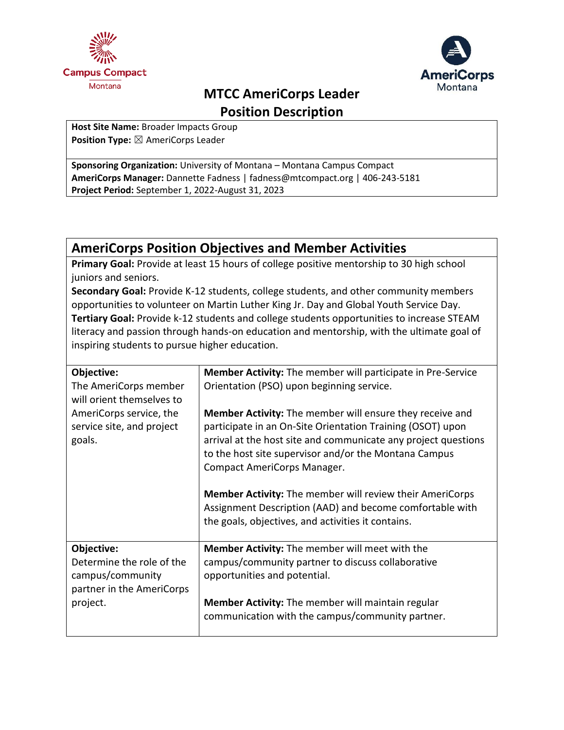



# **MTCC AmeriCorps Leader Position Description**

**Host Site Name:** Broader Impacts Group **Position Type:** ⊠ AmeriCorps Leader

**Sponsoring Organization:** University of Montana – Montana Campus Compact **AmeriCorps Manager:** Dannette Fadness | fadness@mtcompact.org | 406-243-5181 **Project Period:** September 1, 2022-August 31, 2023

# **AmeriCorps Position Objectives and Member Activities**

**Primary Goal:** Provide at least 15 hours of college positive mentorship to 30 high school juniors and seniors.

**Secondary Goal:** Provide K-12 students, college students, and other community members opportunities to volunteer on Martin Luther King Jr. Day and Global Youth Service Day. **Tertiary Goal:** Provide k-12 students and college students opportunities to increase STEAM literacy and passion through hands-on education and mentorship, with the ultimate goal of inspiring students to pursue higher education.

| Objective:                | <b>Member Activity:</b> The member will participate in Pre-Service |
|---------------------------|--------------------------------------------------------------------|
| The AmeriCorps member     | Orientation (PSO) upon beginning service.                          |
| will orient themselves to |                                                                    |
| AmeriCorps service, the   | Member Activity: The member will ensure they receive and           |
| service site, and project | participate in an On-Site Orientation Training (OSOT) upon         |
| goals.                    | arrival at the host site and communicate any project questions     |
|                           | to the host site supervisor and/or the Montana Campus              |
|                           | Compact AmeriCorps Manager.                                        |
|                           |                                                                    |
|                           | <b>Member Activity:</b> The member will review their AmeriCorps    |
|                           | Assignment Description (AAD) and become comfortable with           |
|                           | the goals, objectives, and activities it contains.                 |
|                           |                                                                    |
| Objective:                | <b>Member Activity:</b> The member will meet with the              |
| Determine the role of the | campus/community partner to discuss collaborative                  |
| campus/community          | opportunities and potential.                                       |
| partner in the AmeriCorps |                                                                    |
| project.                  | <b>Member Activity:</b> The member will maintain regular           |
|                           | communication with the campus/community partner.                   |
|                           |                                                                    |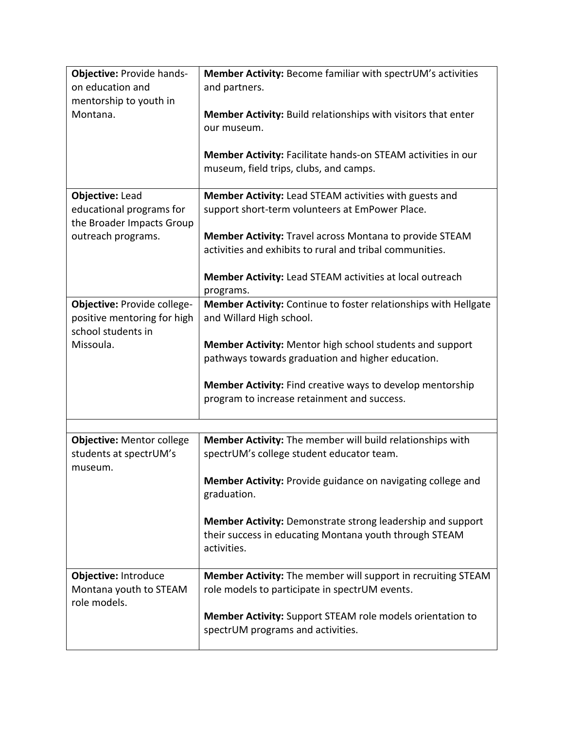| <b>Objective: Provide hands-</b> | Member Activity: Become familiar with spectrUM's activities       |
|----------------------------------|-------------------------------------------------------------------|
| on education and                 | and partners.                                                     |
| mentorship to youth in           |                                                                   |
| Montana.                         | Member Activity: Build relationships with visitors that enter     |
|                                  | our museum.                                                       |
|                                  |                                                                   |
|                                  | Member Activity: Facilitate hands-on STEAM activities in our      |
|                                  | museum, field trips, clubs, and camps.                            |
|                                  |                                                                   |
| <b>Objective: Lead</b>           | Member Activity: Lead STEAM activities with guests and            |
| educational programs for         | support short-term volunteers at EmPower Place.                   |
| the Broader Impacts Group        |                                                                   |
| outreach programs.               | Member Activity: Travel across Montana to provide STEAM           |
|                                  | activities and exhibits to rural and tribal communities.          |
|                                  |                                                                   |
|                                  | Member Activity: Lead STEAM activities at local outreach          |
|                                  | programs.                                                         |
| Objective: Provide college-      | Member Activity: Continue to foster relationships with Hellgate   |
| positive mentoring for high      | and Willard High school.                                          |
| school students in               |                                                                   |
| Missoula.                        | Member Activity: Mentor high school students and support          |
|                                  | pathways towards graduation and higher education.                 |
|                                  |                                                                   |
|                                  | Member Activity: Find creative ways to develop mentorship         |
|                                  | program to increase retainment and success.                       |
|                                  |                                                                   |
| <b>Objective: Mentor college</b> | Member Activity: The member will build relationships with         |
| students at spectrUM's           | spectrUM's college student educator team.                         |
| museum.                          |                                                                   |
|                                  | Member Activity: Provide guidance on navigating college and       |
|                                  | graduation.                                                       |
|                                  |                                                                   |
|                                  | <b>Member Activity:</b> Demonstrate strong leadership and support |
|                                  | their success in educating Montana youth through STEAM            |
|                                  | activities.                                                       |
|                                  |                                                                   |
| Objective: Introduce             | Member Activity: The member will support in recruiting STEAM      |
| Montana youth to STEAM           | role models to participate in spectrUM events.                    |
| role models.                     |                                                                   |
|                                  | Member Activity: Support STEAM role models orientation to         |
|                                  | spectrUM programs and activities.                                 |
|                                  |                                                                   |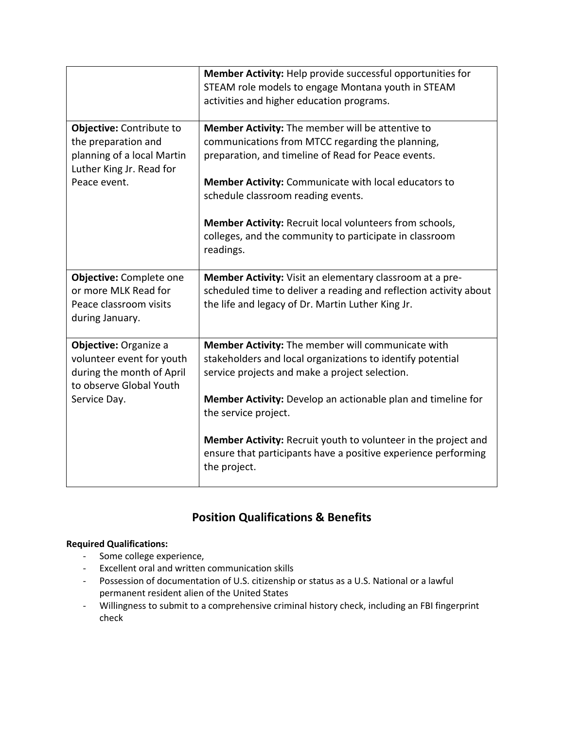|                                                                                                                            | Member Activity: Help provide successful opportunities for<br>STEAM role models to engage Montana youth in STEAM<br>activities and higher education programs.                                                                                                                                                                                                                                |
|----------------------------------------------------------------------------------------------------------------------------|----------------------------------------------------------------------------------------------------------------------------------------------------------------------------------------------------------------------------------------------------------------------------------------------------------------------------------------------------------------------------------------------|
| Objective: Contribute to<br>the preparation and<br>planning of a local Martin<br>Luther King Jr. Read for<br>Peace event.  | Member Activity: The member will be attentive to<br>communications from MTCC regarding the planning,<br>preparation, and timeline of Read for Peace events.<br>Member Activity: Communicate with local educators to<br>schedule classroom reading events.<br>Member Activity: Recruit local volunteers from schools,<br>colleges, and the community to participate in classroom<br>readings. |
|                                                                                                                            |                                                                                                                                                                                                                                                                                                                                                                                              |
| Objective: Complete one<br>or more MLK Read for<br>Peace classroom visits<br>during January.                               | Member Activity: Visit an elementary classroom at a pre-<br>scheduled time to deliver a reading and reflection activity about<br>the life and legacy of Dr. Martin Luther King Jr.                                                                                                                                                                                                           |
| Objective: Organize a<br>volunteer event for youth<br>during the month of April<br>to observe Global Youth<br>Service Day. | Member Activity: The member will communicate with<br>stakeholders and local organizations to identify potential<br>service projects and make a project selection.<br><b>Member Activity:</b> Develop an actionable plan and timeline for                                                                                                                                                     |
|                                                                                                                            | the service project.<br>Member Activity: Recruit youth to volunteer in the project and<br>ensure that participants have a positive experience performing<br>the project.                                                                                                                                                                                                                     |

## **Position Qualifications & Benefits**

### **Required Qualifications:**

- Some college experience,
- Excellent oral and written communication skills
- Possession of documentation of U.S. citizenship or status as a U.S. National or a lawful permanent resident alien of the United States
- Willingness to submit to a comprehensive criminal history check, including an FBI fingerprint check